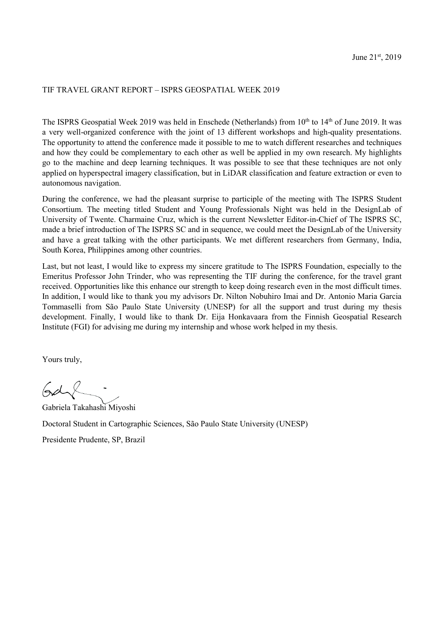## TIF TRAVEL GRANT REPORT – ISPRS GEOSPATIAL WEEK 2019

The ISPRS Geospatial Week 2019 was held in Enschede (Netherlands) from 10<sup>th</sup> to 14<sup>th</sup> of June 2019. It was a very well-organized conference with the joint of 13 different workshops and high-quality presentations. The opportunity to attend the conference made it possible to me to watch different researches and techniques and how they could be complementary to each other as well be applied in my own research. My highlights go to the machine and deep learning techniques. It was possible to see that these techniques are not only applied on hyperspectral imagery classification, but in LiDAR classification and feature extraction or even to autonomous navigation.

During the conference, we had the pleasant surprise to participle of the meeting with The ISPRS Student Consortium. The meeting titled Student and Young Professionals Night was held in the DesignLab of University of Twente. Charmaine Cruz, which is the current Newsletter Editor-in-Chief of The ISPRS SC, made a brief introduction of The ISPRS SC and in sequence, we could meet the DesignLab of the University and have a great talking with the other participants. We met different researchers from Germany, India, South Korea, Philippines among other countries.

Last, but not least, I would like to express my sincere gratitude to The ISPRS Foundation, especially to the Emeritus Professor John Trinder, who was representing the TIF during the conference, for the travel grant received. Opportunities like this enhance our strength to keep doing research even in the most difficult times. In addition, I would like to thank you my advisors Dr. Nilton Nobuhiro Imai and Dr. Antonio Maria Garcia Tommaselli from São Paulo State University (UNESP) for all the support and trust during my thesis development. Finally, I would like to thank Dr. Eija Honkavaara from the Finnish Geospatial Research Institute (FGI) for advising me during my internship and whose work helped in my thesis.

Yours truly,

Gd

Gabriela Takahashi Miyoshi Doctoral Student in Cartographic Sciences, São Paulo State University (UNESP)

Presidente Prudente, SP, Brazil